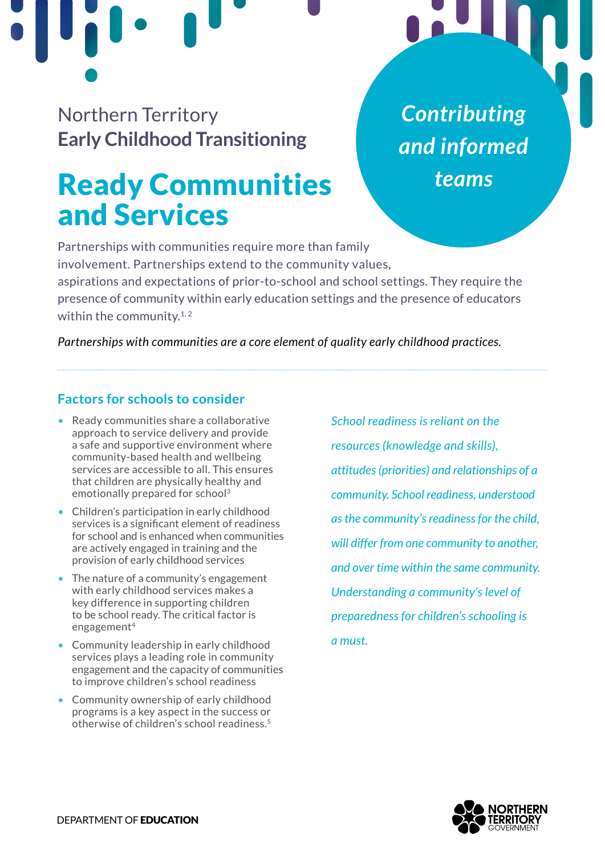Northern Territory **Early Childhood Transitioning**

# Ready Communities and Services

*Contributing and informed teams*

Partnerships with communities require more than family involvement. Partnerships extend to the community values, aspirations and expectations of prior-to-school and school settings. They require the presence of community within early education settings and the presence of educators within the community. $^{\rm 1, 2}$  $^{\rm 1, 2}$  $^{\rm 1, 2}$ 

*Partnerships with communities are a core element of quality early childhood practices.*

## **Factors for schools to consider**

- Ready communities share a collaborative approach to service delivery and provide a safe and supportive environment where community-based health and wellbeing services are accessible to all. This ensures that children are physically healthy and emotionally prepared for schoo[l3](#page-1-0)
- Children's participation in early childhood services is a significant element of readiness for school and is enhanced when communities are actively engaged in training and the provision of early childhood services
- The nature of a community's engagement with early childhood services makes a key difference in supporting children to be school ready. The critical factor is engagement[4](#page-1-0)
- Community leadership in early childhood services plays a leading role in community engagement and the capacity of communities to improve children's school readiness
- Community ownership of early childhood programs is a key aspect in the success or otherwise of children's school readiness.[5](#page-1-0)

*School readiness is reliant on the resources (knowledge and skills), attitudes (priorities) and relationships of a community. School readiness, understood as the community's readiness for the child, will differ from one community to another, and over time within the same community. Understanding a community's level of preparedness for children's schooling is a must.*